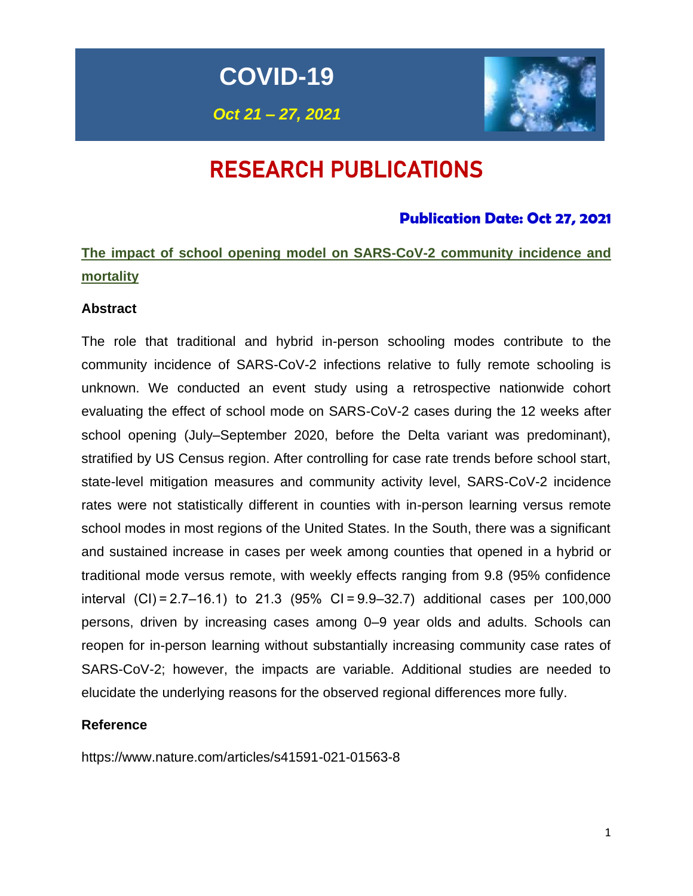**COVID-19**

*Oct 21 – 27, 2021*



# RESEARCH PUBLICATIONS

### **Publication Date: Oct 27, 2021**

# **The impact of school opening model on SARS-CoV-2 community incidence and mortality**

### **Abstract**

The role that traditional and hybrid in-person schooling modes contribute to the community incidence of SARS-CoV-2 infections relative to fully remote schooling is unknown. We conducted an event study using a retrospective nationwide cohort evaluating the effect of school mode on SARS-CoV-2 cases during the 12 weeks after school opening (July–September 2020, before the Delta variant was predominant), stratified by US Census region. After controlling for case rate trends before school start, state-level mitigation measures and community activity level, SARS-CoV-2 incidence rates were not statistically different in counties with in-person learning versus remote school modes in most regions of the United States. In the South, there was a significant and sustained increase in cases per week among counties that opened in a hybrid or traditional mode versus remote, with weekly effects ranging from 9.8 (95% confidence interval (CI) = 2.7–16.1) to 21.3 (95% CI = 9.9–32.7) additional cases per 100,000 persons, driven by increasing cases among 0–9 year olds and adults. Schools can reopen for in-person learning without substantially increasing community case rates of SARS-CoV-2; however, the impacts are variable. Additional studies are needed to elucidate the underlying reasons for the observed regional differences more fully.

### **Reference**

https://www.nature.com/articles/s41591-021-01563-8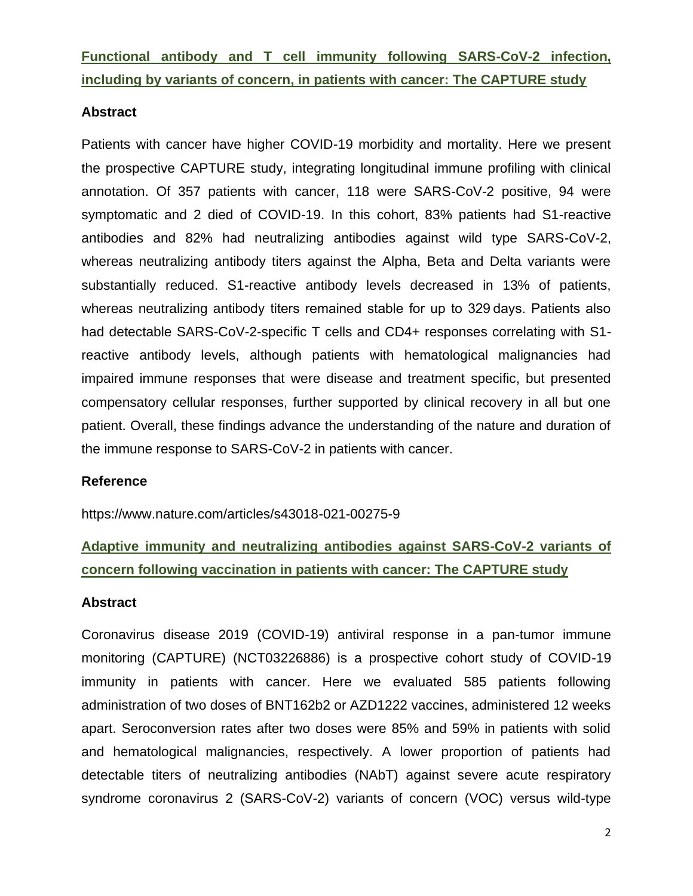**Functional antibody and T cell immunity following SARS-CoV-2 infection, including by variants of concern, in patients with cancer: The CAPTURE study** 

### **Abstract**

Patients with cancer have higher COVID-19 morbidity and mortality. Here we present the prospective CAPTURE study, integrating longitudinal immune profiling with clinical annotation. Of 357 patients with cancer, 118 were SARS-CoV-2 positive, 94 were symptomatic and 2 died of COVID-19. In this cohort, 83% patients had S1-reactive antibodies and 82% had neutralizing antibodies against wild type SARS-CoV-2, whereas neutralizing antibody titers against the Alpha, Beta and Delta variants were substantially reduced. S1-reactive antibody levels decreased in 13% of patients, whereas neutralizing antibody titers remained stable for up to 329 days. Patients also had detectable SARS-CoV-2-specific T cells and CD4+ responses correlating with S1reactive antibody levels, although patients with hematological malignancies had impaired immune responses that were disease and treatment specific, but presented compensatory cellular responses, further supported by clinical recovery in all but one patient. Overall, these findings advance the understanding of the nature and duration of the immune response to SARS-CoV-2 in patients with cancer.

#### **Reference**

https://www.nature.com/articles/s43018-021-00275-9

# **Adaptive immunity and neutralizing antibodies against SARS-CoV-2 variants of concern following vaccination in patients with cancer: The CAPTURE study**

#### **Abstract**

Coronavirus disease 2019 (COVID-19) antiviral response in a pan-tumor immune monitoring (CAPTURE) (NCT03226886) is a prospective cohort study of COVID-19 immunity in patients with cancer. Here we evaluated 585 patients following administration of two doses of BNT162b2 or AZD1222 vaccines, administered 12 weeks apart. Seroconversion rates after two doses were 85% and 59% in patients with solid and hematological malignancies, respectively. A lower proportion of patients had detectable titers of neutralizing antibodies (NAbT) against severe acute respiratory syndrome coronavirus 2 (SARS-CoV-2) variants of concern (VOC) versus wild-type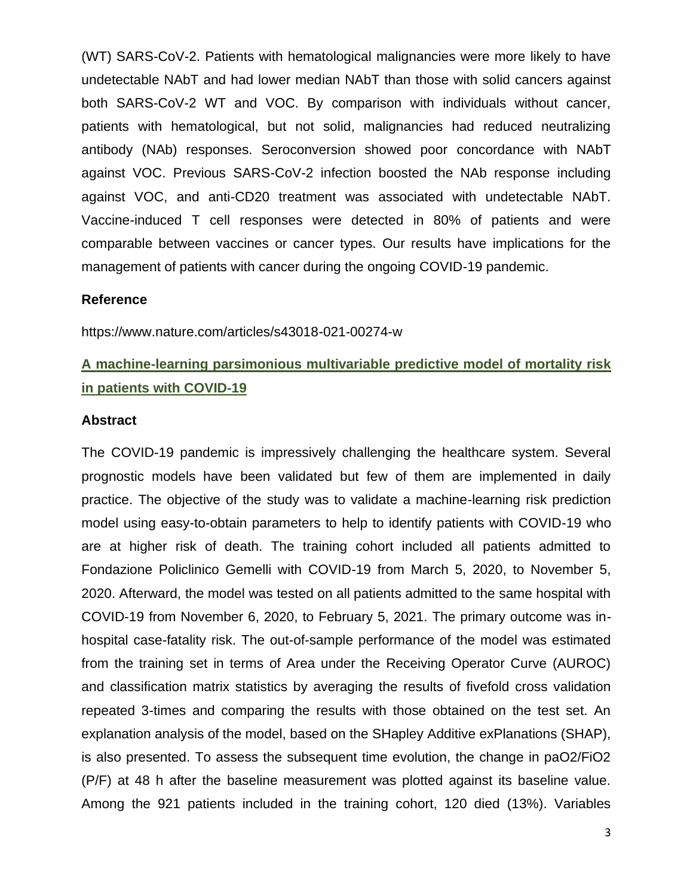(WT) SARS-CoV-2. Patients with hematological malignancies were more likely to have undetectable NAbT and had lower median NAbT than those with solid cancers against both SARS-CoV-2 WT and VOC. By comparison with individuals without cancer, patients with hematological, but not solid, malignancies had reduced neutralizing antibody (NAb) responses. Seroconversion showed poor concordance with NAbT against VOC. Previous SARS-CoV-2 infection boosted the NAb response including against VOC, and anti-CD20 treatment was associated with undetectable NAbT. Vaccine-induced T cell responses were detected in 80% of patients and were comparable between vaccines or cancer types. Our results have implications for the management of patients with cancer during the ongoing COVID-19 pandemic.

#### **Reference**

https://www.nature.com/articles/s43018-021-00274-w

# **A machine-learning parsimonious multivariable predictive model of mortality risk in patients with COVID-19**

#### **Abstract**

The COVID-19 pandemic is impressively challenging the healthcare system. Several prognostic models have been validated but few of them are implemented in daily practice. The objective of the study was to validate a machine-learning risk prediction model using easy-to-obtain parameters to help to identify patients with COVID-19 who are at higher risk of death. The training cohort included all patients admitted to Fondazione Policlinico Gemelli with COVID-19 from March 5, 2020, to November 5, 2020. Afterward, the model was tested on all patients admitted to the same hospital with COVID-19 from November 6, 2020, to February 5, 2021. The primary outcome was inhospital case-fatality risk. The out-of-sample performance of the model was estimated from the training set in terms of Area under the Receiving Operator Curve (AUROC) and classification matrix statistics by averaging the results of fivefold cross validation repeated 3-times and comparing the results with those obtained on the test set. An explanation analysis of the model, based on the SHapley Additive exPlanations (SHAP), is also presented. To assess the subsequent time evolution, the change in paO2/FiO2 (P/F) at 48 h after the baseline measurement was plotted against its baseline value. Among the 921 patients included in the training cohort, 120 died (13%). Variables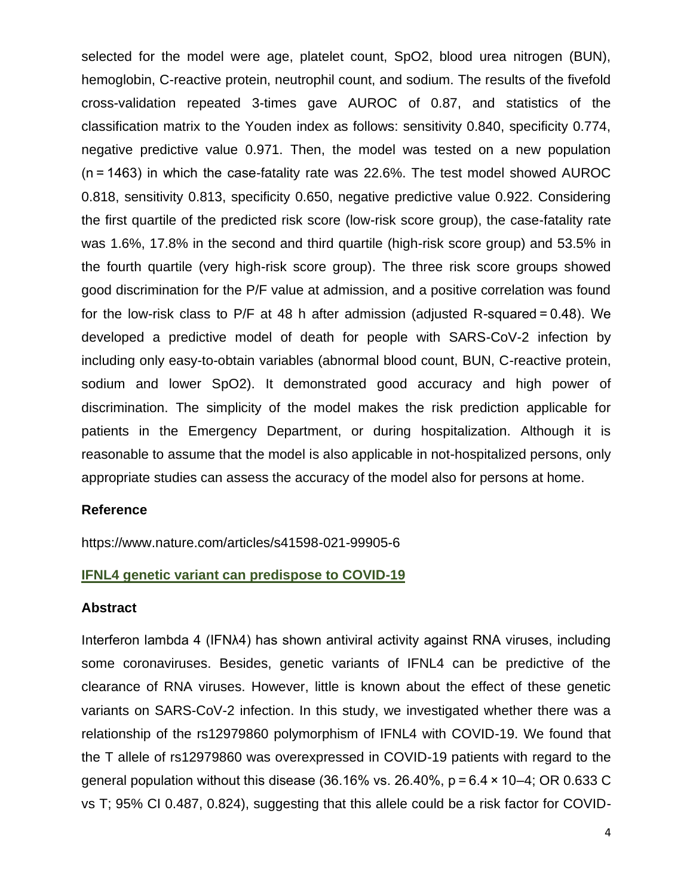selected for the model were age, platelet count, SpO2, blood urea nitrogen (BUN), hemoglobin, C-reactive protein, neutrophil count, and sodium. The results of the fivefold cross-validation repeated 3-times gave AUROC of 0.87, and statistics of the classification matrix to the Youden index as follows: sensitivity 0.840, specificity 0.774, negative predictive value 0.971. Then, the model was tested on a new population (n = 1463) in which the case-fatality rate was 22.6%. The test model showed AUROC 0.818, sensitivity 0.813, specificity 0.650, negative predictive value 0.922. Considering the first quartile of the predicted risk score (low-risk score group), the case-fatality rate was 1.6%, 17.8% in the second and third quartile (high-risk score group) and 53.5% in the fourth quartile (very high-risk score group). The three risk score groups showed good discrimination for the P/F value at admission, and a positive correlation was found for the low-risk class to P/F at 48 h after admission (adjusted R-squared = 0.48). We developed a predictive model of death for people with SARS-CoV-2 infection by including only easy-to-obtain variables (abnormal blood count, BUN, C-reactive protein, sodium and lower SpO2). It demonstrated good accuracy and high power of discrimination. The simplicity of the model makes the risk prediction applicable for patients in the Emergency Department, or during hospitalization. Although it is reasonable to assume that the model is also applicable in not-hospitalized persons, only appropriate studies can assess the accuracy of the model also for persons at home.

### **Reference**

https://www.nature.com/articles/s41598-021-99905-6

#### **IFNL4 genetic variant can predispose to COVID-19**

#### **Abstract**

Interferon lambda 4 (IFNλ4) has shown antiviral activity against RNA viruses, including some coronaviruses. Besides, genetic variants of IFNL4 can be predictive of the clearance of RNA viruses. However, little is known about the effect of these genetic variants on SARS-CoV-2 infection. In this study, we investigated whether there was a relationship of the rs12979860 polymorphism of IFNL4 with COVID-19. We found that the T allele of rs12979860 was overexpressed in COVID-19 patients with regard to the general population without this disease (36.16% vs. 26.40%,  $p = 6.4 \times 10-4$ ; OR 0.633 C vs T; 95% CI 0.487, 0.824), suggesting that this allele could be a risk factor for COVID-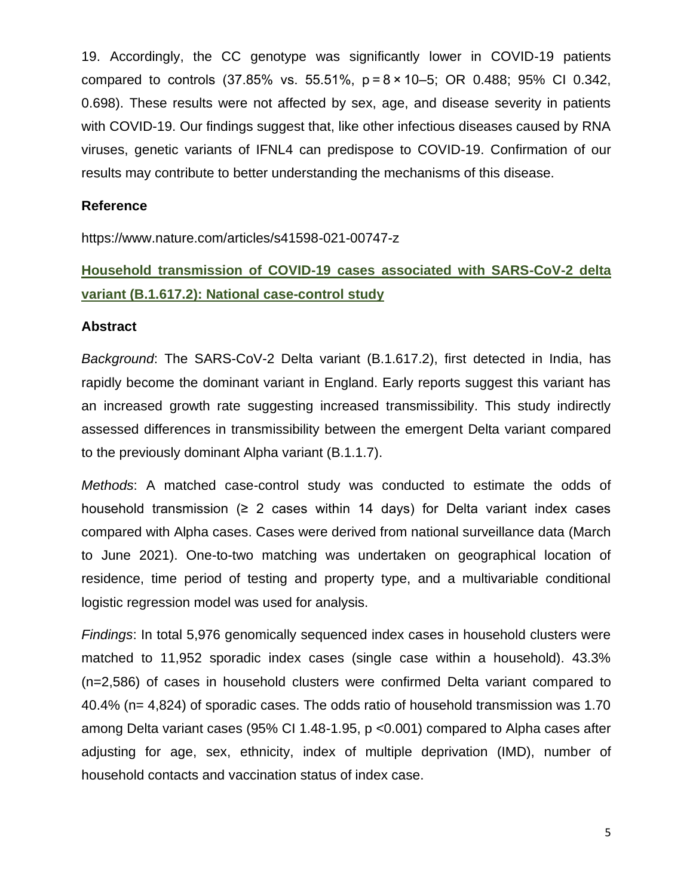19. Accordingly, the CC genotype was significantly lower in COVID-19 patients compared to controls (37.85% vs. 55.51%, p = 8 × 10–5; OR 0.488; 95% CI 0.342, 0.698). These results were not affected by sex, age, and disease severity in patients with COVID-19. Our findings suggest that, like other infectious diseases caused by RNA viruses, genetic variants of IFNL4 can predispose to COVID-19. Confirmation of our results may contribute to better understanding the mechanisms of this disease.

#### **Reference**

https://www.nature.com/articles/s41598-021-00747-z

# **Household transmission of COVID-19 cases associated with SARS-CoV-2 delta variant (B.1.617.2): National case-control study**

### **Abstract**

*Background*: The SARS-CoV-2 Delta variant (B.1.617.2), first detected in India, has rapidly become the dominant variant in England. Early reports suggest this variant has an increased growth rate suggesting increased transmissibility. This study indirectly assessed differences in transmissibility between the emergent Delta variant compared to the previously dominant Alpha variant (B.1.1.7).

*Methods*: A matched case-control study was conducted to estimate the odds of household transmission  $(≥ 2$  cases within 14 days) for Delta variant index cases compared with Alpha cases. Cases were derived from national surveillance data (March to June 2021). One-to-two matching was undertaken on geographical location of residence, time period of testing and property type, and a multivariable conditional logistic regression model was used for analysis.

*Findings*: In total 5,976 genomically sequenced index cases in household clusters were matched to 11,952 sporadic index cases (single case within a household). 43.3% (n=2,586) of cases in household clusters were confirmed Delta variant compared to 40.4% (n= 4,824) of sporadic cases. The odds ratio of household transmission was 1.70 among Delta variant cases (95% CI 1.48-1.95, p <0.001) compared to Alpha cases after adjusting for age, sex, ethnicity, index of multiple deprivation (IMD), number of household contacts and vaccination status of index case.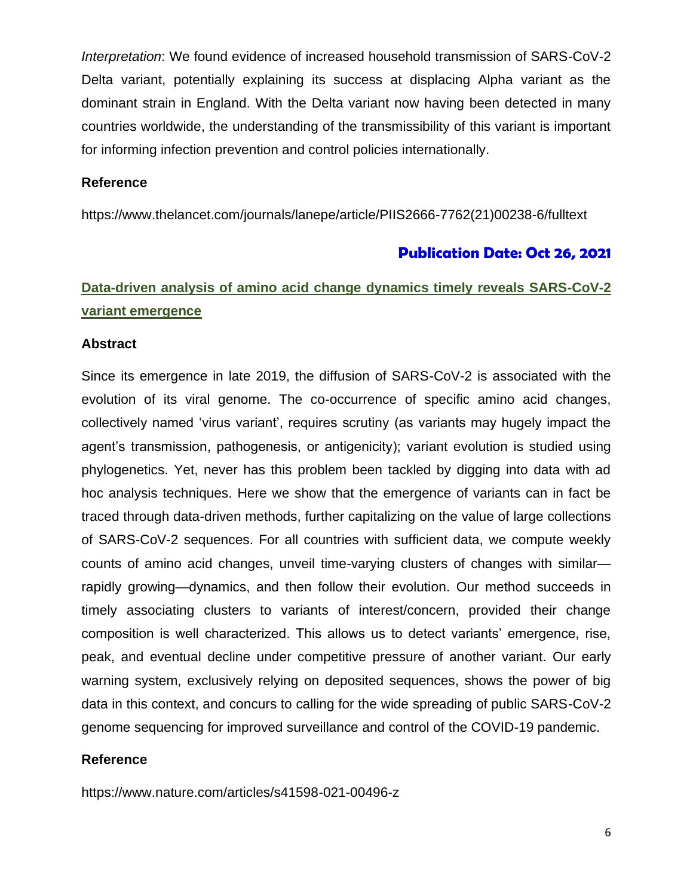*Interpretation*: We found evidence of increased household transmission of SARS-CoV-2 Delta variant, potentially explaining its success at displacing Alpha variant as the dominant strain in England. With the Delta variant now having been detected in many countries worldwide, the understanding of the transmissibility of this variant is important for informing infection prevention and control policies internationally.

### **Reference**

https://www.thelancet.com/journals/lanepe/article/PIIS2666-7762(21)00238-6/fulltext

### **Publication Date: Oct 26, 2021**

# **Data-driven analysis of amino acid change dynamics timely reveals SARS-CoV-2 variant emergence**

#### **Abstract**

Since its emergence in late 2019, the diffusion of SARS-CoV-2 is associated with the evolution of its viral genome. The co-occurrence of specific amino acid changes, collectively named 'virus variant', requires scrutiny (as variants may hugely impact the agent's transmission, pathogenesis, or antigenicity); variant evolution is studied using phylogenetics. Yet, never has this problem been tackled by digging into data with ad hoc analysis techniques. Here we show that the emergence of variants can in fact be traced through data-driven methods, further capitalizing on the value of large collections of SARS-CoV-2 sequences. For all countries with sufficient data, we compute weekly counts of amino acid changes, unveil time-varying clusters of changes with similar rapidly growing—dynamics, and then follow their evolution. Our method succeeds in timely associating clusters to variants of interest/concern, provided their change composition is well characterized. This allows us to detect variants' emergence, rise, peak, and eventual decline under competitive pressure of another variant. Our early warning system, exclusively relying on deposited sequences, shows the power of big data in this context, and concurs to calling for the wide spreading of public SARS-CoV-2 genome sequencing for improved surveillance and control of the COVID-19 pandemic.

### **Reference**

https://www.nature.com/articles/s41598-021-00496-z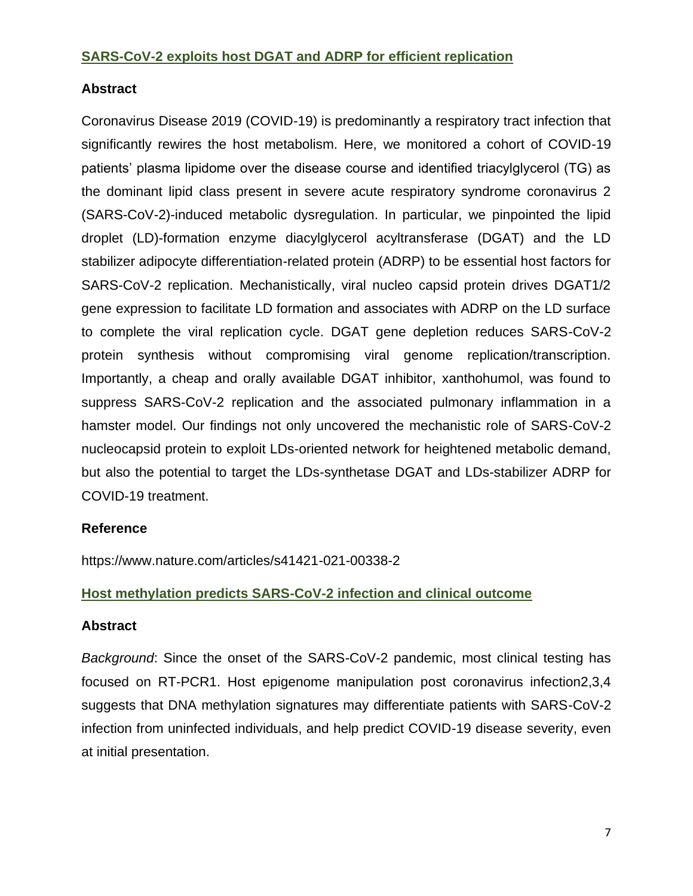### **SARS-CoV-2 exploits host DGAT and ADRP for efficient replication**

### **Abstract**

Coronavirus Disease 2019 (COVID-19) is predominantly a respiratory tract infection that significantly rewires the host metabolism. Here, we monitored a cohort of COVID-19 patients' plasma lipidome over the disease course and identified triacylglycerol (TG) as the dominant lipid class present in severe acute respiratory syndrome coronavirus 2 (SARS-CoV-2)-induced metabolic dysregulation. In particular, we pinpointed the lipid droplet (LD)-formation enzyme diacylglycerol acyltransferase (DGAT) and the LD stabilizer adipocyte differentiation-related protein (ADRP) to be essential host factors for SARS-CoV-2 replication. Mechanistically, viral nucleo capsid protein drives DGAT1/2 gene expression to facilitate LD formation and associates with ADRP on the LD surface to complete the viral replication cycle. DGAT gene depletion reduces SARS-CoV-2 protein synthesis without compromising viral genome replication/transcription. Importantly, a cheap and orally available DGAT inhibitor, xanthohumol, was found to suppress SARS-CoV-2 replication and the associated pulmonary inflammation in a hamster model. Our findings not only uncovered the mechanistic role of SARS-CoV-2 nucleocapsid protein to exploit LDs-oriented network for heightened metabolic demand, but also the potential to target the LDs-synthetase DGAT and LDs-stabilizer ADRP for COVID-19 treatment.

### **Reference**

https://www.nature.com/articles/s41421-021-00338-2

### **Host methylation predicts SARS-CoV-2 infection and clinical outcome**

### **Abstract**

*Background*: Since the onset of the SARS-CoV-2 pandemic, most clinical testing has focused on RT-PCR1. Host epigenome manipulation post coronavirus infection2,3,4 suggests that DNA methylation signatures may differentiate patients with SARS-CoV-2 infection from uninfected individuals, and help predict COVID-19 disease severity, even at initial presentation.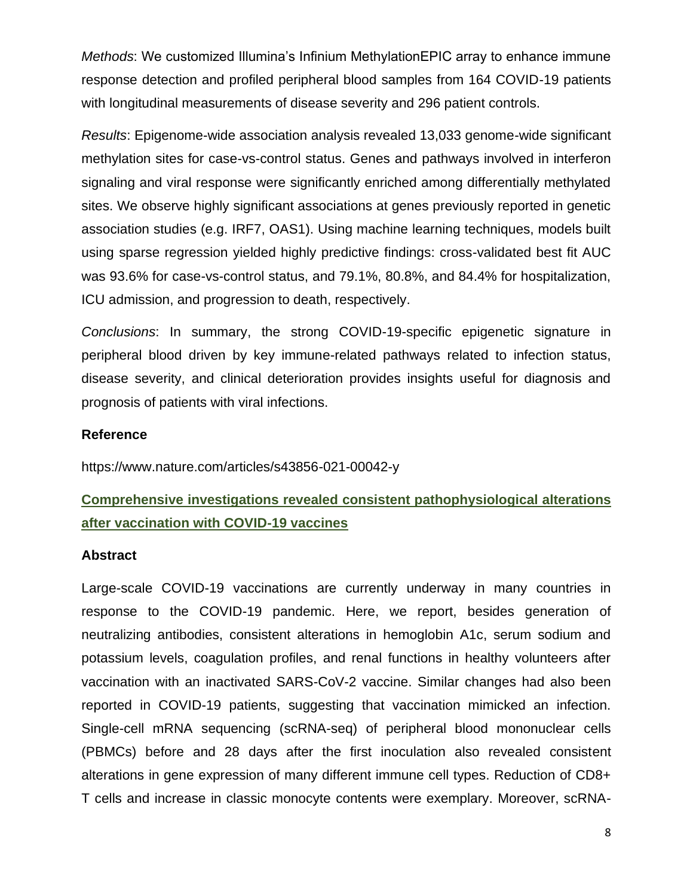*Methods*: We customized Illumina's Infinium MethylationEPIC array to enhance immune response detection and profiled peripheral blood samples from 164 COVID-19 patients with longitudinal measurements of disease severity and 296 patient controls.

*Results*: Epigenome-wide association analysis revealed 13,033 genome-wide significant methylation sites for case-vs-control status. Genes and pathways involved in interferon signaling and viral response were significantly enriched among differentially methylated sites. We observe highly significant associations at genes previously reported in genetic association studies (e.g. IRF7, OAS1). Using machine learning techniques, models built using sparse regression yielded highly predictive findings: cross-validated best fit AUC was 93.6% for case-vs-control status, and 79.1%, 80.8%, and 84.4% for hospitalization, ICU admission, and progression to death, respectively.

*Conclusions*: In summary, the strong COVID-19-specific epigenetic signature in peripheral blood driven by key immune-related pathways related to infection status, disease severity, and clinical deterioration provides insights useful for diagnosis and prognosis of patients with viral infections.

### **Reference**

https://www.nature.com/articles/s43856-021-00042-y

# **Comprehensive investigations revealed consistent pathophysiological alterations after vaccination with COVID-19 vaccines**

#### **Abstract**

Large-scale COVID-19 vaccinations are currently underway in many countries in response to the COVID-19 pandemic. Here, we report, besides generation of neutralizing antibodies, consistent alterations in hemoglobin A1c, serum sodium and potassium levels, coagulation profiles, and renal functions in healthy volunteers after vaccination with an inactivated SARS-CoV-2 vaccine. Similar changes had also been reported in COVID-19 patients, suggesting that vaccination mimicked an infection. Single-cell mRNA sequencing (scRNA-seq) of peripheral blood mononuclear cells (PBMCs) before and 28 days after the first inoculation also revealed consistent alterations in gene expression of many different immune cell types. Reduction of CD8+ T cells and increase in classic monocyte contents were exemplary. Moreover, scRNA-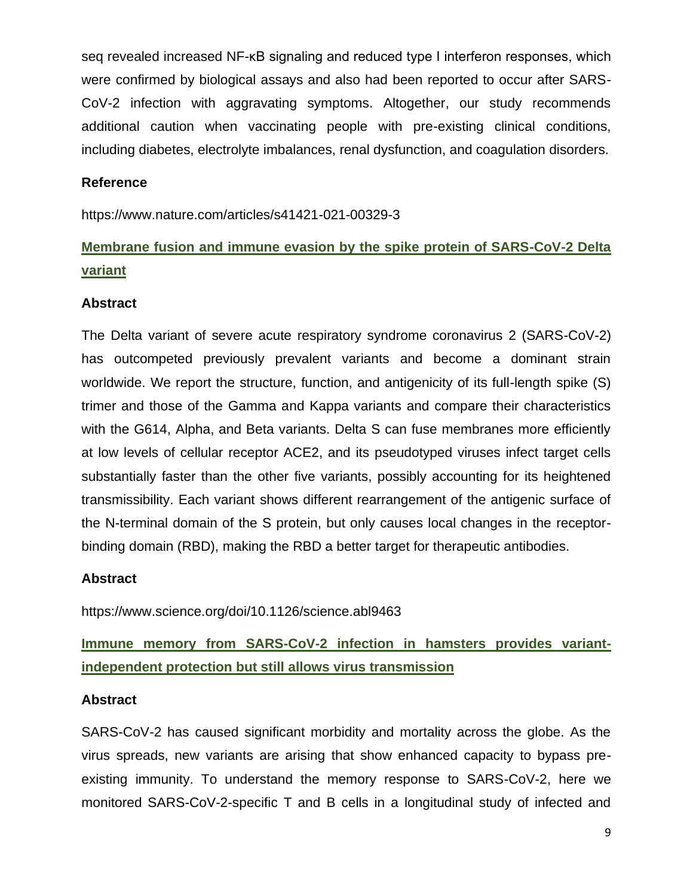seq revealed increased NF-κB signaling and reduced type I interferon responses, which were confirmed by biological assays and also had been reported to occur after SARS-CoV-2 infection with aggravating symptoms. Altogether, our study recommends additional caution when vaccinating people with pre-existing clinical conditions, including diabetes, electrolyte imbalances, renal dysfunction, and coagulation disorders.

### **Reference**

https://www.nature.com/articles/s41421-021-00329-3

# **Membrane fusion and immune evasion by the spike protein of SARS-CoV-2 Delta variant**

### **Abstract**

The Delta variant of severe acute respiratory syndrome coronavirus 2 (SARS-CoV-2) has outcompeted previously prevalent variants and become a dominant strain worldwide. We report the structure, function, and antigenicity of its full-length spike (S) trimer and those of the Gamma and Kappa variants and compare their characteristics with the G614, Alpha, and Beta variants. Delta S can fuse membranes more efficiently at low levels of cellular receptor ACE2, and its pseudotyped viruses infect target cells substantially faster than the other five variants, possibly accounting for its heightened transmissibility. Each variant shows different rearrangement of the antigenic surface of the N-terminal domain of the S protein, but only causes local changes in the receptorbinding domain (RBD), making the RBD a better target for therapeutic antibodies.

### **Abstract**

https://www.science.org/doi/10.1126/science.abl9463

**Immune memory from SARS-CoV-2 infection in hamsters provides variantindependent protection but still allows virus transmission**

### **Abstract**

SARS-CoV-2 has caused significant morbidity and mortality across the globe. As the virus spreads, new variants are arising that show enhanced capacity to bypass preexisting immunity. To understand the memory response to SARS-CoV-2, here we monitored SARS-CoV-2-specific T and B cells in a longitudinal study of infected and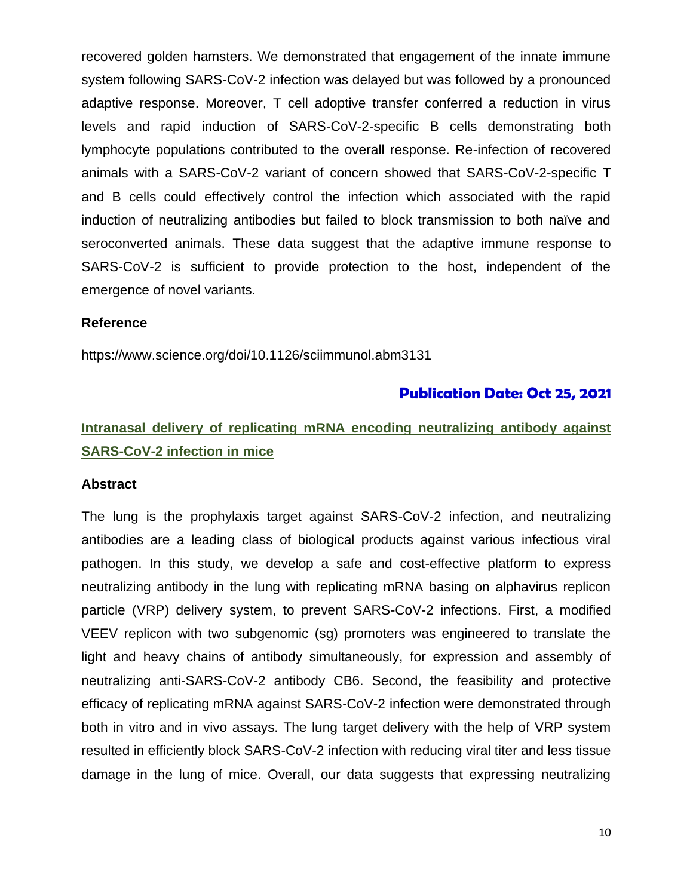recovered golden hamsters. We demonstrated that engagement of the innate immune system following SARS-CoV-2 infection was delayed but was followed by a pronounced adaptive response. Moreover, T cell adoptive transfer conferred a reduction in virus levels and rapid induction of SARS-CoV-2-specific B cells demonstrating both lymphocyte populations contributed to the overall response. Re-infection of recovered animals with a SARS-CoV-2 variant of concern showed that SARS-CoV-2-specific T and B cells could effectively control the infection which associated with the rapid induction of neutralizing antibodies but failed to block transmission to both naïve and seroconverted animals. These data suggest that the adaptive immune response to SARS-CoV-2 is sufficient to provide protection to the host, independent of the emergence of novel variants.

#### **Reference**

https://www.science.org/doi/10.1126/sciimmunol.abm3131

### **Publication Date: Oct 25, 2021**

# **Intranasal delivery of replicating mRNA encoding neutralizing antibody against SARS-CoV-2 infection in mice**

#### **Abstract**

The lung is the prophylaxis target against SARS-CoV-2 infection, and neutralizing antibodies are a leading class of biological products against various infectious viral pathogen. In this study, we develop a safe and cost-effective platform to express neutralizing antibody in the lung with replicating mRNA basing on alphavirus replicon particle (VRP) delivery system, to prevent SARS-CoV-2 infections. First, a modified VEEV replicon with two subgenomic (sg) promoters was engineered to translate the light and heavy chains of antibody simultaneously, for expression and assembly of neutralizing anti-SARS-CoV-2 antibody CB6. Second, the feasibility and protective efficacy of replicating mRNA against SARS-CoV-2 infection were demonstrated through both in vitro and in vivo assays. The lung target delivery with the help of VRP system resulted in efficiently block SARS-CoV-2 infection with reducing viral titer and less tissue damage in the lung of mice. Overall, our data suggests that expressing neutralizing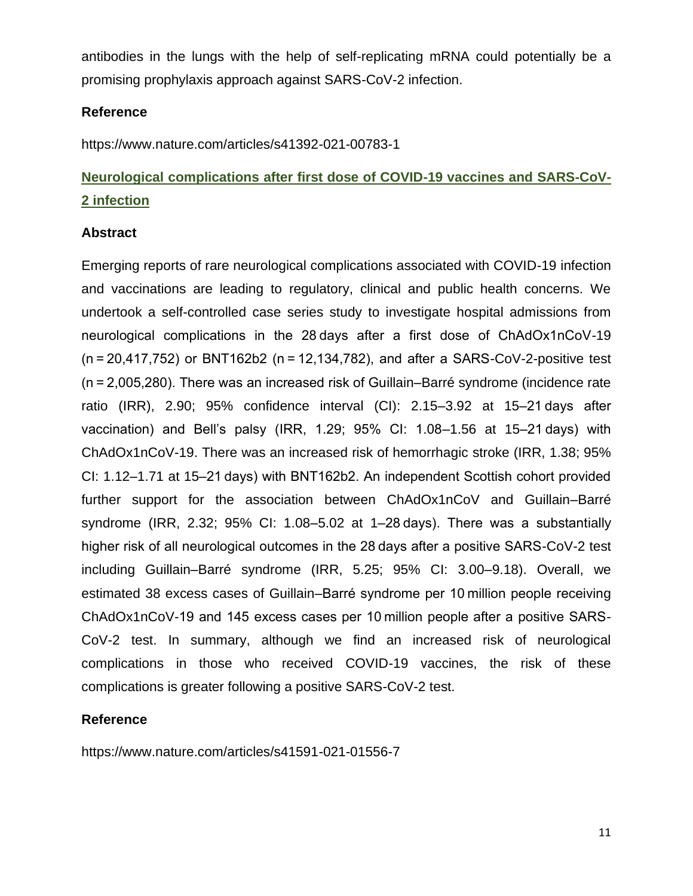antibodies in the lungs with the help of self-replicating mRNA could potentially be a promising prophylaxis approach against SARS-CoV-2 infection.

### **Reference**

https://www.nature.com/articles/s41392-021-00783-1

# **Neurological complications after first dose of COVID-19 vaccines and SARS-CoV-2 infection**

### **Abstract**

Emerging reports of rare neurological complications associated with COVID-19 infection and vaccinations are leading to regulatory, clinical and public health concerns. We undertook a self-controlled case series study to investigate hospital admissions from neurological complications in the 28 days after a first dose of ChAdOx1nCoV-19 (n = 20,417,752) or BNT162b2 (n = 12,134,782), and after a SARS-CoV-2-positive test (n = 2,005,280). There was an increased risk of Guillain–Barré syndrome (incidence rate ratio (IRR), 2.90; 95% confidence interval (CI): 2.15–3.92 at 15–21 days after vaccination) and Bell's palsy (IRR, 1.29; 95% CI: 1.08–1.56 at 15–21 days) with ChAdOx1nCoV-19. There was an increased risk of hemorrhagic stroke (IRR, 1.38; 95% CI: 1.12–1.71 at 15–21 days) with BNT162b2. An independent Scottish cohort provided further support for the association between ChAdOx1nCoV and Guillain–Barré syndrome (IRR, 2.32; 95% CI: 1.08–5.02 at 1–28 days). There was a substantially higher risk of all neurological outcomes in the 28 days after a positive SARS-CoV-2 test including Guillain–Barré syndrome (IRR, 5.25; 95% CI: 3.00–9.18). Overall, we estimated 38 excess cases of Guillain–Barré syndrome per 10 million people receiving ChAdOx1nCoV-19 and 145 excess cases per 10 million people after a positive SARS-CoV-2 test. In summary, although we find an increased risk of neurological complications in those who received COVID-19 vaccines, the risk of these complications is greater following a positive SARS-CoV-2 test.

### **Reference**

https://www.nature.com/articles/s41591-021-01556-7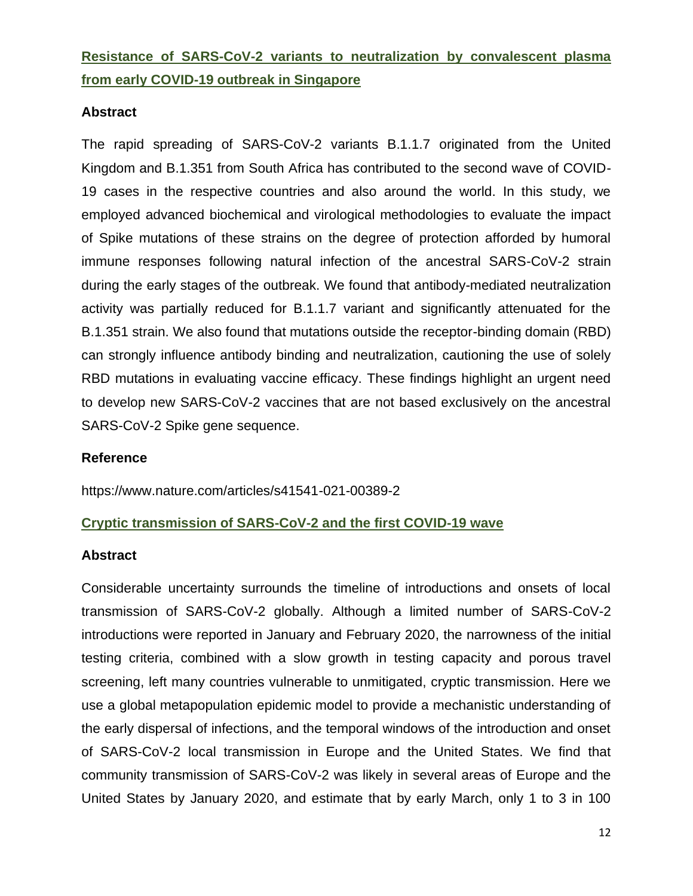# **Resistance of SARS-CoV-2 variants to neutralization by convalescent plasma from early COVID-19 outbreak in Singapore**

### **Abstract**

The rapid spreading of SARS-CoV-2 variants B.1.1.7 originated from the United Kingdom and B.1.351 from South Africa has contributed to the second wave of COVID-19 cases in the respective countries and also around the world. In this study, we employed advanced biochemical and virological methodologies to evaluate the impact of Spike mutations of these strains on the degree of protection afforded by humoral immune responses following natural infection of the ancestral SARS-CoV-2 strain during the early stages of the outbreak. We found that antibody-mediated neutralization activity was partially reduced for B.1.1.7 variant and significantly attenuated for the B.1.351 strain. We also found that mutations outside the receptor-binding domain (RBD) can strongly influence antibody binding and neutralization, cautioning the use of solely RBD mutations in evaluating vaccine efficacy. These findings highlight an urgent need to develop new SARS-CoV-2 vaccines that are not based exclusively on the ancestral SARS-CoV-2 Spike gene sequence.

### **Reference**

https://www.nature.com/articles/s41541-021-00389-2

### **Cryptic transmission of SARS-CoV-2 and the first COVID-19 wave**

#### **Abstract**

Considerable uncertainty surrounds the timeline of introductions and onsets of local transmission of SARS-CoV-2 globally. Although a limited number of SARS-CoV-2 introductions were reported in January and February 2020, the narrowness of the initial testing criteria, combined with a slow growth in testing capacity and porous travel screening, left many countries vulnerable to unmitigated, cryptic transmission. Here we use a global metapopulation epidemic model to provide a mechanistic understanding of the early dispersal of infections, and the temporal windows of the introduction and onset of SARS-CoV-2 local transmission in Europe and the United States. We find that community transmission of SARS-CoV-2 was likely in several areas of Europe and the United States by January 2020, and estimate that by early March, only 1 to 3 in 100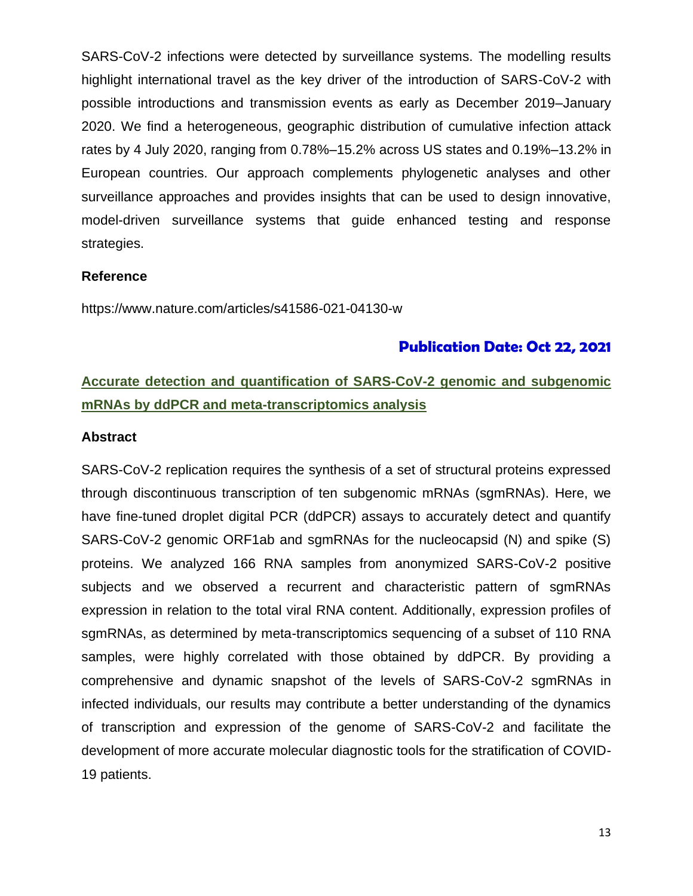SARS-CoV-2 infections were detected by surveillance systems. The modelling results highlight international travel as the key driver of the introduction of SARS-CoV-2 with possible introductions and transmission events as early as December 2019–January 2020. We find a heterogeneous, geographic distribution of cumulative infection attack rates by 4 July 2020, ranging from 0.78%–15.2% across US states and 0.19%–13.2% in European countries. Our approach complements phylogenetic analyses and other surveillance approaches and provides insights that can be used to design innovative, model-driven surveillance systems that guide enhanced testing and response strategies.

#### **Reference**

https://www.nature.com/articles/s41586-021-04130-w

### **Publication Date: Oct 22, 2021**

# **Accurate detection and quantification of SARS-CoV-2 genomic and subgenomic mRNAs by ddPCR and meta-transcriptomics analysis**

#### **Abstract**

SARS-CoV-2 replication requires the synthesis of a set of structural proteins expressed through discontinuous transcription of ten subgenomic mRNAs (sgmRNAs). Here, we have fine-tuned droplet digital PCR (ddPCR) assays to accurately detect and quantify SARS-CoV-2 genomic ORF1ab and sgmRNAs for the nucleocapsid (N) and spike (S) proteins. We analyzed 166 RNA samples from anonymized SARS-CoV-2 positive subjects and we observed a recurrent and characteristic pattern of sgmRNAs expression in relation to the total viral RNA content. Additionally, expression profiles of sgmRNAs, as determined by meta-transcriptomics sequencing of a subset of 110 RNA samples, were highly correlated with those obtained by ddPCR. By providing a comprehensive and dynamic snapshot of the levels of SARS-CoV-2 sgmRNAs in infected individuals, our results may contribute a better understanding of the dynamics of transcription and expression of the genome of SARS-CoV-2 and facilitate the development of more accurate molecular diagnostic tools for the stratification of COVID-19 patients.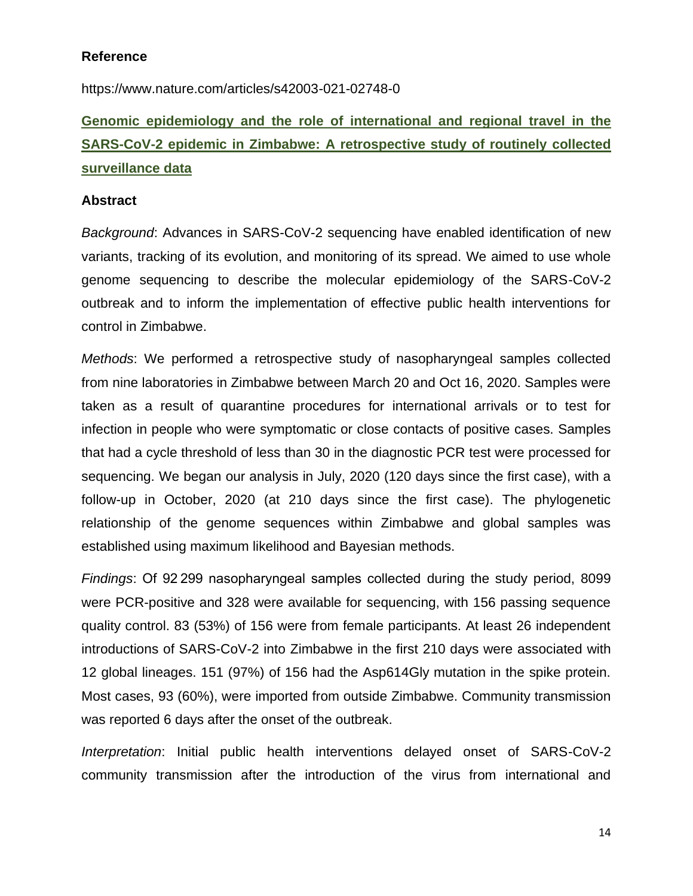### **Reference**

https://www.nature.com/articles/s42003-021-02748-0

# **Genomic epidemiology and the role of international and regional travel in the SARS-CoV-2 epidemic in Zimbabwe: A retrospective study of routinely collected surveillance data**

### **Abstract**

*Background*: Advances in SARS-CoV-2 sequencing have enabled identification of new variants, tracking of its evolution, and monitoring of its spread. We aimed to use whole genome sequencing to describe the molecular epidemiology of the SARS-CoV-2 outbreak and to inform the implementation of effective public health interventions for control in Zimbabwe.

*Methods*: We performed a retrospective study of nasopharyngeal samples collected from nine laboratories in Zimbabwe between March 20 and Oct 16, 2020. Samples were taken as a result of quarantine procedures for international arrivals or to test for infection in people who were symptomatic or close contacts of positive cases. Samples that had a cycle threshold of less than 30 in the diagnostic PCR test were processed for sequencing. We began our analysis in July, 2020 (120 days since the first case), with a follow-up in October, 2020 (at 210 days since the first case). The phylogenetic relationship of the genome sequences within Zimbabwe and global samples was established using maximum likelihood and Bayesian methods.

*Findings*: Of 92 299 nasopharyngeal samples collected during the study period, 8099 were PCR-positive and 328 were available for sequencing, with 156 passing sequence quality control. 83 (53%) of 156 were from female participants. At least 26 independent introductions of SARS-CoV-2 into Zimbabwe in the first 210 days were associated with 12 global lineages. 151 (97%) of 156 had the Asp614Gly mutation in the spike protein. Most cases, 93 (60%), were imported from outside Zimbabwe. Community transmission was reported 6 days after the onset of the outbreak.

*Interpretation*: Initial public health interventions delayed onset of SARS-CoV-2 community transmission after the introduction of the virus from international and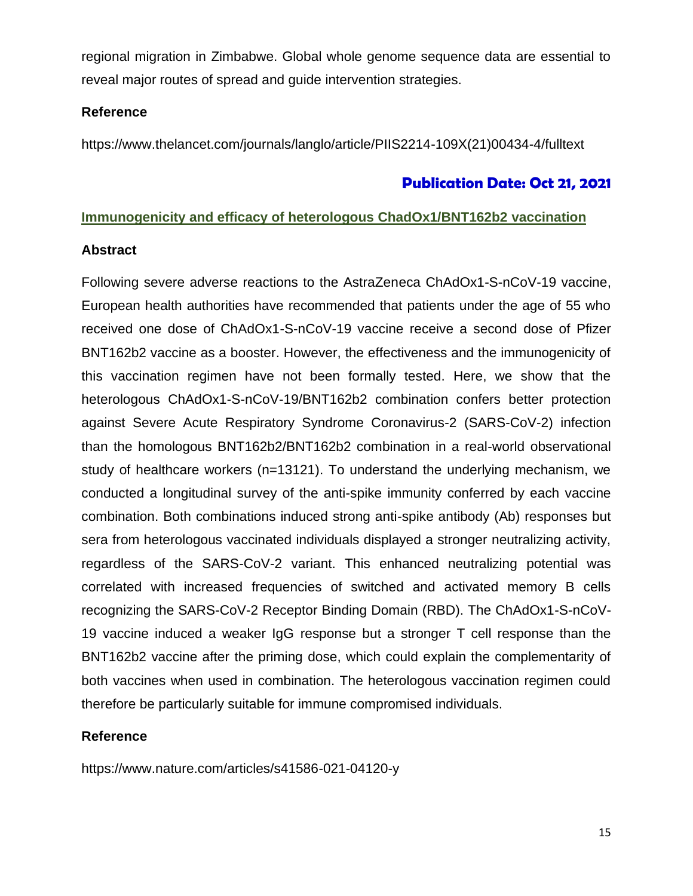regional migration in Zimbabwe. Global whole genome sequence data are essential to reveal major routes of spread and guide intervention strategies.

### **Reference**

https://www.thelancet.com/journals/langlo/article/PIIS2214-109X(21)00434-4/fulltext

### **Publication Date: Oct 21, 2021**

### **Immunogenicity and efficacy of heterologous ChadOx1/BNT162b2 vaccination**

### **Abstract**

Following severe adverse reactions to the AstraZeneca ChAdOx1-S-nCoV-19 vaccine, European health authorities have recommended that patients under the age of 55 who received one dose of ChAdOx1-S-nCoV-19 vaccine receive a second dose of Pfizer BNT162b2 vaccine as a booster. However, the effectiveness and the immunogenicity of this vaccination regimen have not been formally tested. Here, we show that the heterologous ChAdOx1-S-nCoV-19/BNT162b2 combination confers better protection against Severe Acute Respiratory Syndrome Coronavirus-2 (SARS-CoV-2) infection than the homologous BNT162b2/BNT162b2 combination in a real-world observational study of healthcare workers (n=13121). To understand the underlying mechanism, we conducted a longitudinal survey of the anti-spike immunity conferred by each vaccine combination. Both combinations induced strong anti-spike antibody (Ab) responses but sera from heterologous vaccinated individuals displayed a stronger neutralizing activity, regardless of the SARS-CoV-2 variant. This enhanced neutralizing potential was correlated with increased frequencies of switched and activated memory B cells recognizing the SARS-CoV-2 Receptor Binding Domain (RBD). The ChAdOx1-S-nCoV-19 vaccine induced a weaker IgG response but a stronger T cell response than the BNT162b2 vaccine after the priming dose, which could explain the complementarity of both vaccines when used in combination. The heterologous vaccination regimen could therefore be particularly suitable for immune compromised individuals.

### **Reference**

https://www.nature.com/articles/s41586-021-04120-y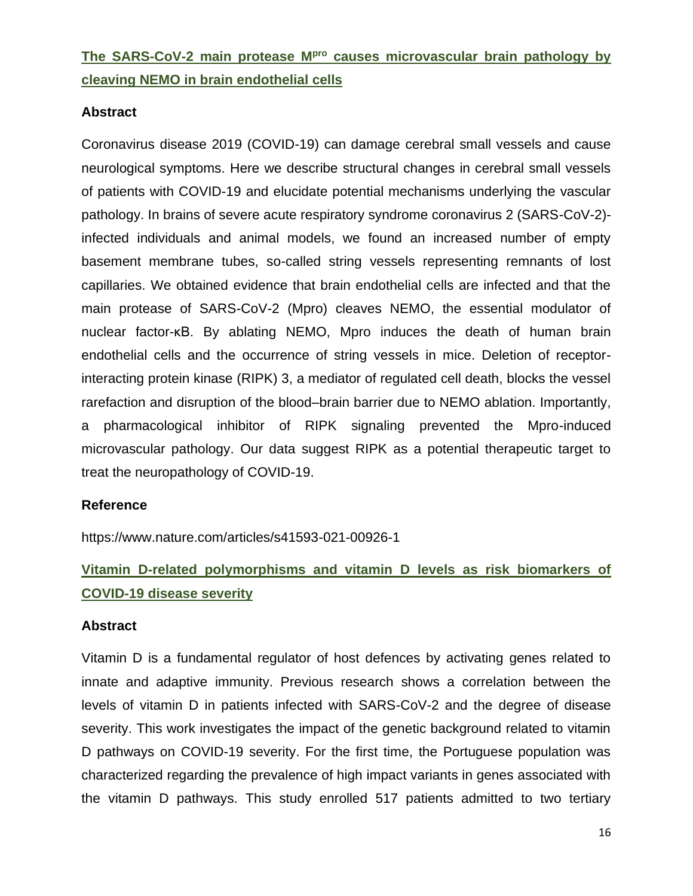# **The SARS-CoV-2 main protease Mpro causes microvascular brain pathology by cleaving NEMO in brain endothelial cells**

### **Abstract**

Coronavirus disease 2019 (COVID-19) can damage cerebral small vessels and cause neurological symptoms. Here we describe structural changes in cerebral small vessels of patients with COVID-19 and elucidate potential mechanisms underlying the vascular pathology. In brains of severe acute respiratory syndrome coronavirus 2 (SARS-CoV-2) infected individuals and animal models, we found an increased number of empty basement membrane tubes, so-called string vessels representing remnants of lost capillaries. We obtained evidence that brain endothelial cells are infected and that the main protease of SARS-CoV-2 (Mpro) cleaves NEMO, the essential modulator of nuclear factor-κB. By ablating NEMO, Mpro induces the death of human brain endothelial cells and the occurrence of string vessels in mice. Deletion of receptorinteracting protein kinase (RIPK) 3, a mediator of regulated cell death, blocks the vessel rarefaction and disruption of the blood–brain barrier due to NEMO ablation. Importantly, a pharmacological inhibitor of RIPK signaling prevented the Mpro-induced microvascular pathology. Our data suggest RIPK as a potential therapeutic target to treat the neuropathology of COVID-19.

### **Reference**

https://www.nature.com/articles/s41593-021-00926-1

# **Vitamin D-related polymorphisms and vitamin D levels as risk biomarkers of COVID-19 disease severity**

### **Abstract**

Vitamin D is a fundamental regulator of host defences by activating genes related to innate and adaptive immunity. Previous research shows a correlation between the levels of vitamin D in patients infected with SARS-CoV-2 and the degree of disease severity. This work investigates the impact of the genetic background related to vitamin D pathways on COVID-19 severity. For the first time, the Portuguese population was characterized regarding the prevalence of high impact variants in genes associated with the vitamin D pathways. This study enrolled 517 patients admitted to two tertiary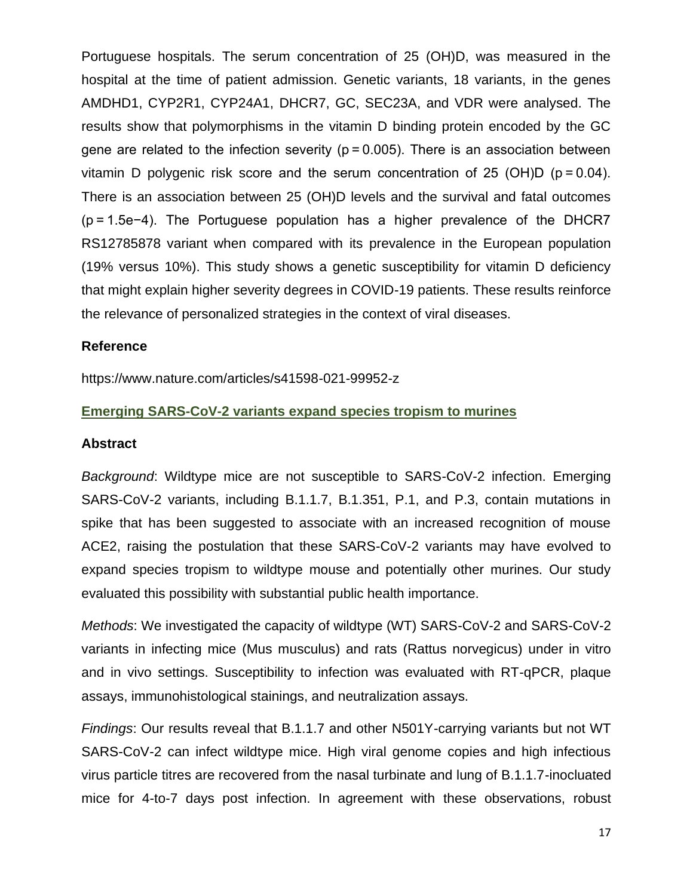Portuguese hospitals. The serum concentration of 25 (OH)D, was measured in the hospital at the time of patient admission. Genetic variants, 18 variants, in the genes AMDHD1, CYP2R1, CYP24A1, DHCR7, GC, SEC23A, and VDR were analysed. The results show that polymorphisms in the vitamin D binding protein encoded by the GC gene are related to the infection severity ( $p = 0.005$ ). There is an association between vitamin D polygenic risk score and the serum concentration of 25 (OH)D ( $p = 0.04$ ). There is an association between 25 (OH)D levels and the survival and fatal outcomes (p = 1.5e−4). The Portuguese population has a higher prevalence of the DHCR7 RS12785878 variant when compared with its prevalence in the European population (19% versus 10%). This study shows a genetic susceptibility for vitamin D deficiency that might explain higher severity degrees in COVID-19 patients. These results reinforce the relevance of personalized strategies in the context of viral diseases.

### **Reference**

https://www.nature.com/articles/s41598-021-99952-z

### **Emerging SARS-CoV-2 variants expand species tropism to murines**

### **Abstract**

*Background*: Wildtype mice are not susceptible to SARS-CoV-2 infection. Emerging SARS-CoV-2 variants, including B.1.1.7, B.1.351, P.1, and P.3, contain mutations in spike that has been suggested to associate with an increased recognition of mouse ACE2, raising the postulation that these SARS-CoV-2 variants may have evolved to expand species tropism to wildtype mouse and potentially other murines. Our study evaluated this possibility with substantial public health importance.

*Methods*: We investigated the capacity of wildtype (WT) SARS-CoV-2 and SARS-CoV-2 variants in infecting mice (Mus musculus) and rats (Rattus norvegicus) under in vitro and in vivo settings. Susceptibility to infection was evaluated with RT-qPCR, plaque assays, immunohistological stainings, and neutralization assays.

*Findings*: Our results reveal that B.1.1.7 and other N501Y-carrying variants but not WT SARS-CoV-2 can infect wildtype mice. High viral genome copies and high infectious virus particle titres are recovered from the nasal turbinate and lung of B.1.1.7-inocluated mice for 4-to-7 days post infection. In agreement with these observations, robust